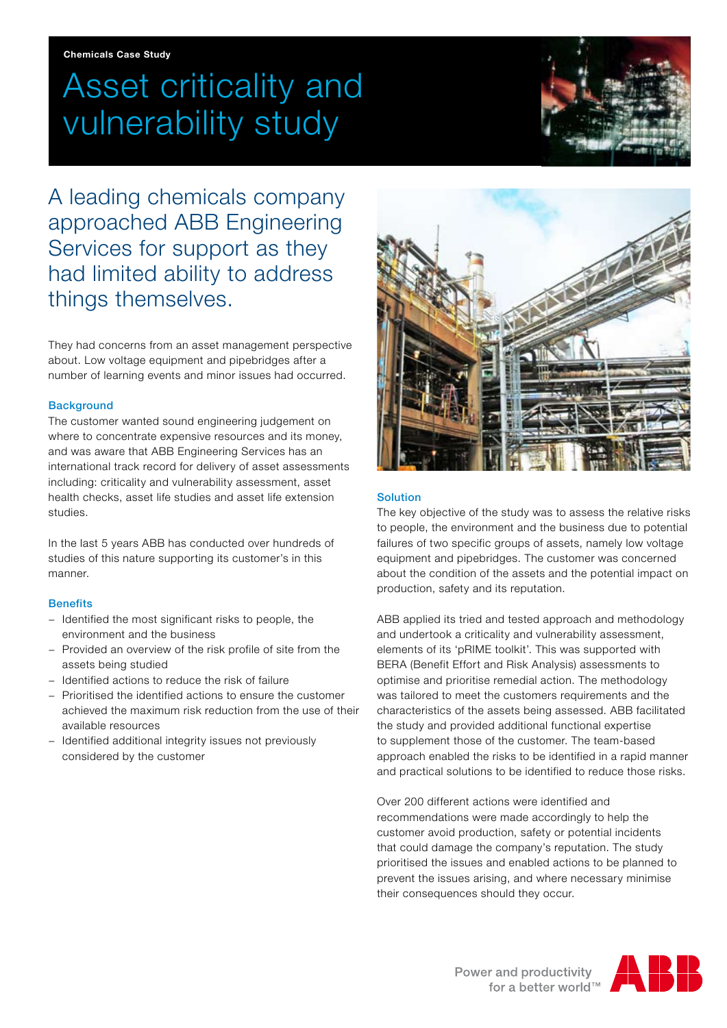# Asset criticality and vulnerability study



A leading chemicals company approached ABB Engineering Services for support as they had limited ability to address things themselves.

They had concerns from an asset management perspective about. Low voltage equipment and pipebridges after a number of learning events and minor issues had occurred.

# **Background**

The customer wanted sound engineering judgement on where to concentrate expensive resources and its money, and was aware that ABB Engineering Services has an international track record for delivery of asset assessments including: criticality and vulnerability assessment, asset health checks, asset life studies and asset life extension studies.

In the last 5 years ABB has conducted over hundreds of studies of this nature supporting its customer's in this manner.

#### **Benefits**

- − Identified the most significant risks to people, the environment and the business
- − Provided an overview of the risk profile of site from the assets being studied
- − Identified actions to reduce the risk of failure
- − Prioritised the identified actions to ensure the customer achieved the maximum risk reduction from the use of their available resources
- − Identified additional integrity issues not previously considered by the customer



# Solution

The key objective of the study was to assess the relative risks to people, the environment and the business due to potential failures of two specific groups of assets, namely low voltage equipment and pipebridges. The customer was concerned about the condition of the assets and the potential impact on production, safety and its reputation.

ABB applied its tried and tested approach and methodology and undertook a criticality and vulnerability assessment, elements of its 'pRIME toolkit'. This was supported with BERA (Benefit Effort and Risk Analysis) assessments to optimise and prioritise remedial action. The methodology was tailored to meet the customers requirements and the characteristics of the assets being assessed. ABB facilitated the study and provided additional functional expertise to supplement those of the customer. The team-based approach enabled the risks to be identified in a rapid manner and practical solutions to be identified to reduce those risks.

Over 200 different actions were identified and recommendations were made accordingly to help the customer avoid production, safety or potential incidents that could damage the company's reputation. The study prioritised the issues and enabled actions to be planned to prevent the issues arising, and where necessary minimise their consequences should they occur.